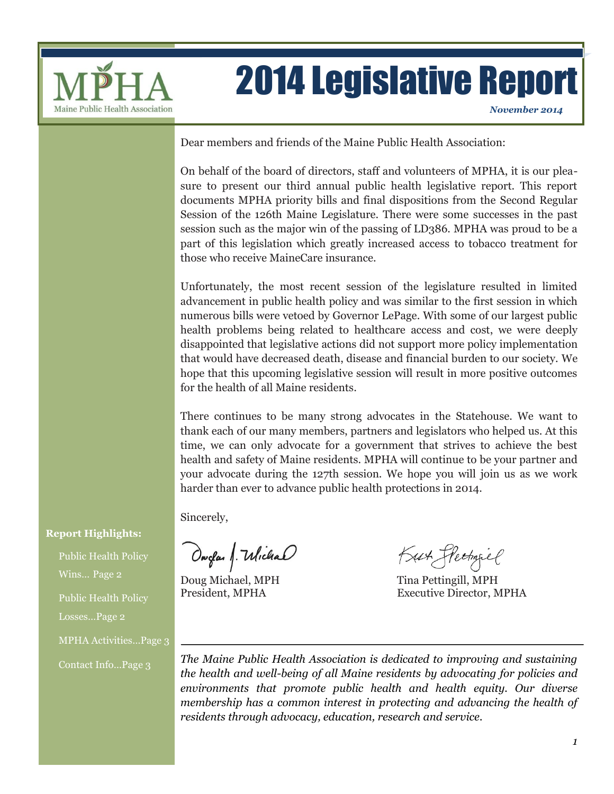

# 2014 Legislative Report

*November 2014*

Dear members and friends of the Maine Public Health Association:

On behalf of the board of directors, staff and volunteers of MPHA, it is our pleasure to present our third annual public health legislative report. This report documents MPHA priority bills and final dispositions from the Second Regular Session of the 126th Maine Legislature. There were some successes in the past session such as the major win of the passing of LD386. MPHA was proud to be a part of this legislation which greatly increased access to tobacco treatment for those who receive MaineCare insurance.

Unfortunately, the most recent session of the legislature resulted in limited advancement in public health policy and was similar to the first session in which numerous bills were vetoed by Governor LePage. With some of our largest public health problems being related to healthcare access and cost, we were deeply disappointed that legislative actions did not support more policy implementation that would have decreased death, disease and financial burden to our society. We hope that this upcoming legislative session will result in more positive outcomes for the health of all Maine residents.

There continues to be many strong advocates in the Statehouse. We want to thank each of our many members, partners and legislators who helped us. At this time, we can only advocate for a government that strives to achieve the best health and safety of Maine residents. MPHA will continue to be your partner and your advocate during the 127th session. We hope you will join us as we work harder than ever to advance public health protections in 2014.

Sincerely,

Douglas J. Wichal

Doug Michael, MPH Tina Pettingill, MPH

Kut Fletingiel

President, MPHA Executive Director, MPHA

*The Maine Public Health Association is dedicated to improving and sustaining the health and well-being of all Maine residents by advocating for policies and environments that promote public health and health equity. Our diverse membership has a common interest in protecting and advancing the health of residents through advocacy, education, research and service.*

#### **Report Highlights:**

Public Health Policy Wins… Page 2 Public Health Policy

Losses…Page 2

MPHA Activities…Page 3

Contact Info…Page 3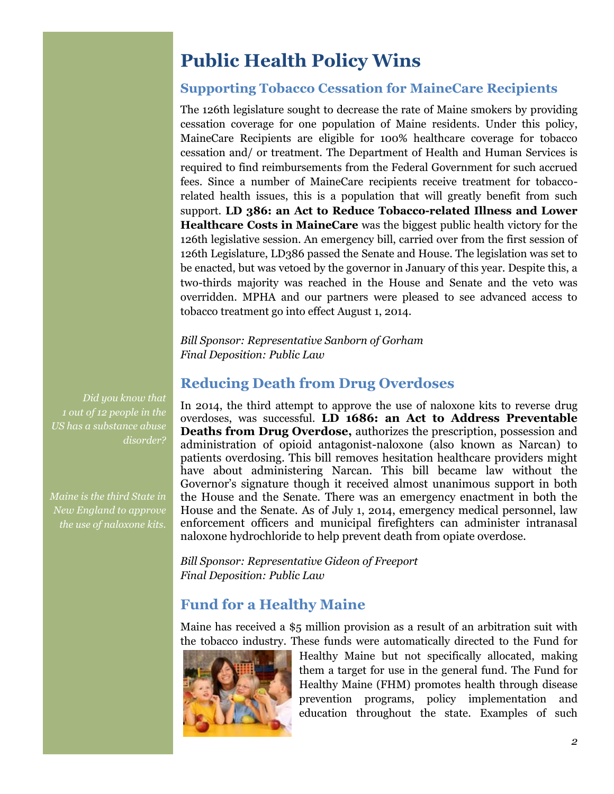# **Public Health Policy Wins**

### **Supporting Tobacco Cessation for MaineCare Recipients**

The 126th legislature sought to decrease the rate of Maine smokers by providing cessation coverage for one population of Maine residents. [Under this policy,](http://www.mainelegislature.org/legis/bills/display_ps.asp?LD=386&snum=126)  [MaineCare Recipients are eligible for 100% healthcare coverage for tobacco](http://www.mainelegislature.org/legis/bills/display_ps.asp?LD=386&snum=126)  [cessation and/ or treatment. T](http://www.mainelegislature.org/legis/bills/display_ps.asp?LD=386&snum=126)he Department of Health and Human Services is required to find reimbursements from the Federal Government for such accrued fees. Since a number of MaineCare recipients receive treatment for tobaccorelated health issues, this is a population that will greatly benefit from such support. **LD 386: an Act to Reduce Tobacco-related Illness and Lower Healthcare Costs in MaineCare** was the biggest public health victory for the 126th legislative session. An emergency bill, [carried over from the first session of](http://www.mainelegislature.org/legis/bills/display_ps.asp?LD=386&snum=126)  [126th Legislature, LD386 passed the Senate and House. The legislation was set to](http://www.mainelegislature.org/legis/bills/display_ps.asp?LD=386&snum=126)  [be enacted, but was vetoed by the governor in January of this year. Despite this, a](http://www.mainelegislature.org/legis/bills/display_ps.asp?LD=386&snum=126) two-thirds majority [was reached in the House and Senate and the veto was](http://www.mainelegislature.org/legis/bills/display_ps.asp?LD=386&snum=126)  [overridden. M](http://www.mainelegislature.org/legis/bills/display_ps.asp?LD=386&snum=126)PHA and our partners were pleased to see advanced access to tobacco treatment go into effect August 1, 2014.

*Bill Sponsor: Representative Sanborn of Gorham Final Deposition: Public Law*

### **Reducing Death from Drug Overdoses**

In 2014, the third attempt to approve the use of naloxone kits to reverse drug overdoses, was successful. **LD 1686: an Act to Address Preventable Deaths from Drug Overdose,** authorizes the prescription, possession and administration of opioid antagonist-naloxone (also known as Narcan) to patients overdosing. This bill removes hesitation healthcare providers might have about administering Narcan. This bill became law without the Governor's signature though it received almost unanimous support in both the House and the Senate. There was an emergency enactment in both the House and the Senate. As of July 1, 2014, emergency medical personnel, law enforcement officers and municipal firefighters can administer intranasal naloxone hydrochloride to help prevent death from opiate overdose.

*Bill Sponsor: Representative Gideon of Freeport Final Deposition: Public Law* 

# **Fund for a Healthy Maine**

Maine has received a \$5 million provision [as a result of an arbitration suit](http://www.mainelegislature.org/legis/bills/display_ps.asp?LD=1719&snum=126) with [the tobacco industry. These funds were automatically directed to the Fund for](http://www.mainelegislature.org/legis/bills/display_ps.asp?LD=1719&snum=126) 



Healthy Maine [but not specifically allocated, making](http://www.mainelegislature.org/legis/bills/display_ps.asp?LD=1719&snum=126)  [them a target for use in the general fund. The Fund for](http://www.mainelegislature.org/legis/bills/display_ps.asp?LD=1719&snum=126)  Healthy [Maine \(FHM\) promotes](http://www.mainelegislature.org/legis/bills/display_ps.asp?LD=1719&snum=126) health through disease prevention programs, policy implementation and education throughout the state. Examples of such

*Did you know that 1 out of 12 people in the US has a substance abuse disorder?*

*Maine is the third State in New England to approve the use of naloxone kits.*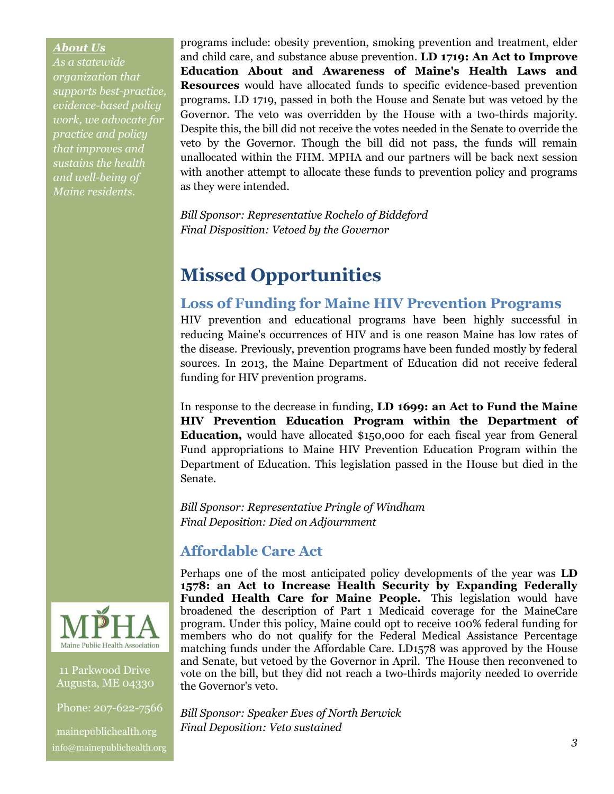### *About Us*

*As a statewide organization that supports best-practice, evidence-based policy work, we advocate for practice and policy that improves and sustains the health and well-being of Maine residents.* 

programs include: obesity prevention, smoking prevention and treatment, elder and child care, and substance abuse prevention. **LD 1719: An Act to Improve Education About and Awareness of Maine's Health Laws and Resources** would have allocated [funds to specific evidence-based prevention](http://www.mainelegislature.org/legis/bills/display_ps.asp?LD=1719&snum=126)  [programs. L](http://www.mainelegislature.org/legis/bills/display_ps.asp?LD=1719&snum=126)D 1719, passed in both the House and Senate but was vetoed by the Governor. The veto was overridden by the House with a two-thirds majority. Despite this, the bill did not receive the votes needed in the Senate to override the veto by the Governor. Though the bill did not pass, the funds will remain unallocated within the FHM. MPHA and our partners will be back next session with another attempt to allocate these funds to prevention policy and programs as they were intended.

*Bill Sponsor: Representative Rochelo of Biddeford Final Disposition: Vetoed by the Governor*

# **Missed Opportunities**

### **Loss of Funding for Maine HIV Prevention Programs**

HIV prevention and educational programs have been highly successful in reducing Maine's occurrences of HIV and is one reason Maine has low rates of the disease. Previously, prevention programs have been funded mostly by federal sources. In 2013, the Maine Department of Education did not receive federal funding for HIV prevention programs.

In response to the decrease in funding, **LD 1699: an Act to Fund the Maine HIV Prevention Education Program within the Department of Education,** would have allocated \$150,000 for each fiscal year from General Fund appropriations to Maine HIV Prevention Education Program within the Department of Education. This legislation passed in the House but died in the Senate.

*Bill Sponsor: Representative Pringle of Windham Final Deposition: Died on Adjournment*

## **Affordable Care Act**

Perhaps one of the most anticipated policy developments of the year was **LD 1578: an Act to Increase Health Security by Expanding Federally**  Funded Health Care for Maine People. This legislation would have broadened the description of Part 1 Medicaid coverage for the MaineCare program. Under this policy, Maine could opt to receive 100% federal funding for members who do not qualify for the Federal Medical Assistance Percentage matching funds under the Affordable Care. LD1578 was approved by the House and Senate, but vetoed by the Governor in April. The House then reconvened to vote on the bill, but they did not reach a two-thirds majority needed to override the Governor's veto.

*Bill Sponsor: Speaker Eves of North Berwick Final Deposition: Veto sustained*



#### 11 Parkwood Drive Augusta, ME 04330

Phone: 207-622-7566 mainepublichealth.org info@mainepublichealth.org